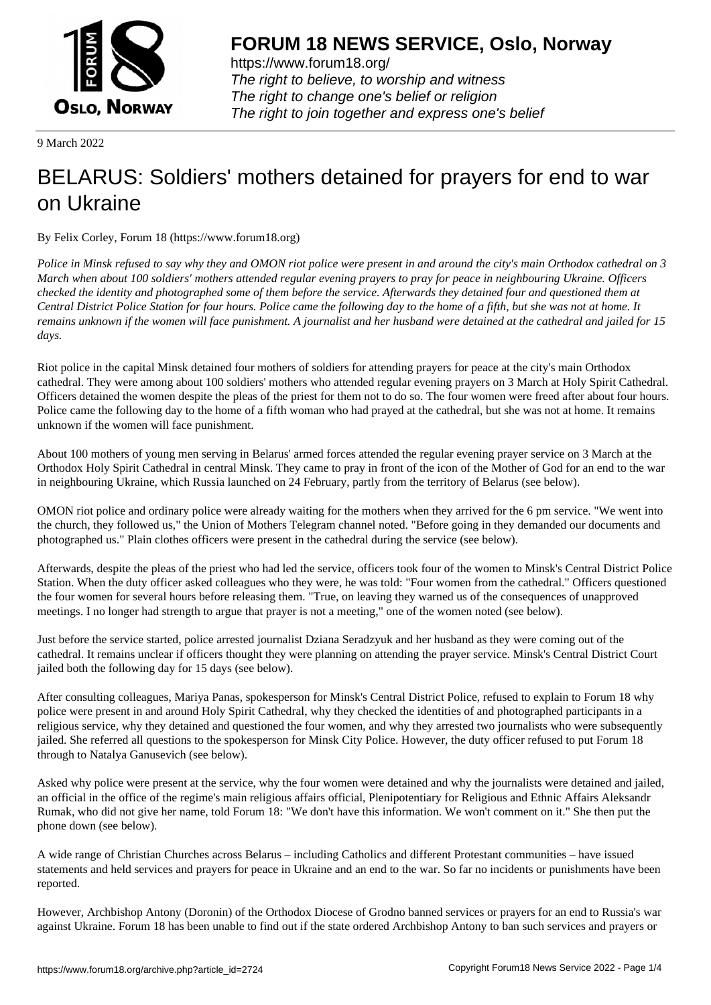

https://www.forum18.org/ The right to believe, to worship and witness The right to change one's belief or religion [The right to join together a](https://www.forum18.org/)nd express one's belief

9 March 2022

# [BELARUS: Sold](https://www.forum18.org)iers' mothers detained for prayers for end to war on Ukraine

By Felix Corley, Forum 18 (https://www.forum18.org)

*Police in Minsk refused to say why they and OMON riot police were present in and around the city's main Orthodox cathedral on 3 March when about 100 soldiers' mothers attended regular evening prayers to pray for peace in neighbouring Ukraine. Officers checked the identity and photographed some of them before the service. Afterwards they detained four and questioned them at Central District Police Station for four hours. Police came the following day to the home of a fifth, but she was not at home. It remains unknown if the women will face punishment. A journalist and her husband were detained at the cathedral and jailed for 15 days.*

Riot police in the capital Minsk detained four mothers of soldiers for attending prayers for peace at the city's main Orthodox cathedral. They were among about 100 soldiers' mothers who attended regular evening prayers on 3 March at Holy Spirit Cathedral. Officers detained the women despite the pleas of the priest for them not to do so. The four women were freed after about four hours. Police came the following day to the home of a fifth woman who had prayed at the cathedral, but she was not at home. It remains unknown if the women will face punishment.

About 100 mothers of young men serving in Belarus' armed forces attended the regular evening prayer service on 3 March at the Orthodox Holy Spirit Cathedral in central Minsk. They came to pray in front of the icon of the Mother of God for an end to the war in neighbouring Ukraine, which Russia launched on 24 February, partly from the territory of Belarus (see below).

OMON riot police and ordinary police were already waiting for the mothers when they arrived for the 6 pm service. "We went into the church, they followed us," the Union of Mothers Telegram channel noted. "Before going in they demanded our documents and photographed us." Plain clothes officers were present in the cathedral during the service (see below).

Afterwards, despite the pleas of the priest who had led the service, officers took four of the women to Minsk's Central District Police Station. When the duty officer asked colleagues who they were, he was told: "Four women from the cathedral." Officers questioned the four women for several hours before releasing them. "True, on leaving they warned us of the consequences of unapproved meetings. I no longer had strength to argue that prayer is not a meeting," one of the women noted (see below).

Just before the service started, police arrested journalist Dziana Seradzyuk and her husband as they were coming out of the cathedral. It remains unclear if officers thought they were planning on attending the prayer service. Minsk's Central District Court jailed both the following day for 15 days (see below).

After consulting colleagues, Mariya Panas, spokesperson for Minsk's Central District Police, refused to explain to Forum 18 why police were present in and around Holy Spirit Cathedral, why they checked the identities of and photographed participants in a religious service, why they detained and questioned the four women, and why they arrested two journalists who were subsequently jailed. She referred all questions to the spokesperson for Minsk City Police. However, the duty officer refused to put Forum 18 through to Natalya Ganusevich (see below).

Asked why police were present at the service, why the four women were detained and why the journalists were detained and jailed, an official in the office of the regime's main religious affairs official, Plenipotentiary for Religious and Ethnic Affairs Aleksandr Rumak, who did not give her name, told Forum 18: "We don't have this information. We won't comment on it." She then put the phone down (see below).

A wide range of Christian Churches across Belarus – including Catholics and different Protestant communities – have issued statements and held services and prayers for peace in Ukraine and an end to the war. So far no incidents or punishments have been reported.

However, Archbishop Antony (Doronin) of the Orthodox Diocese of Grodno banned services or prayers for an end to Russia's war against Ukraine. Forum 18 has been unable to find out if the state ordered Archbishop Antony to ban such services and prayers or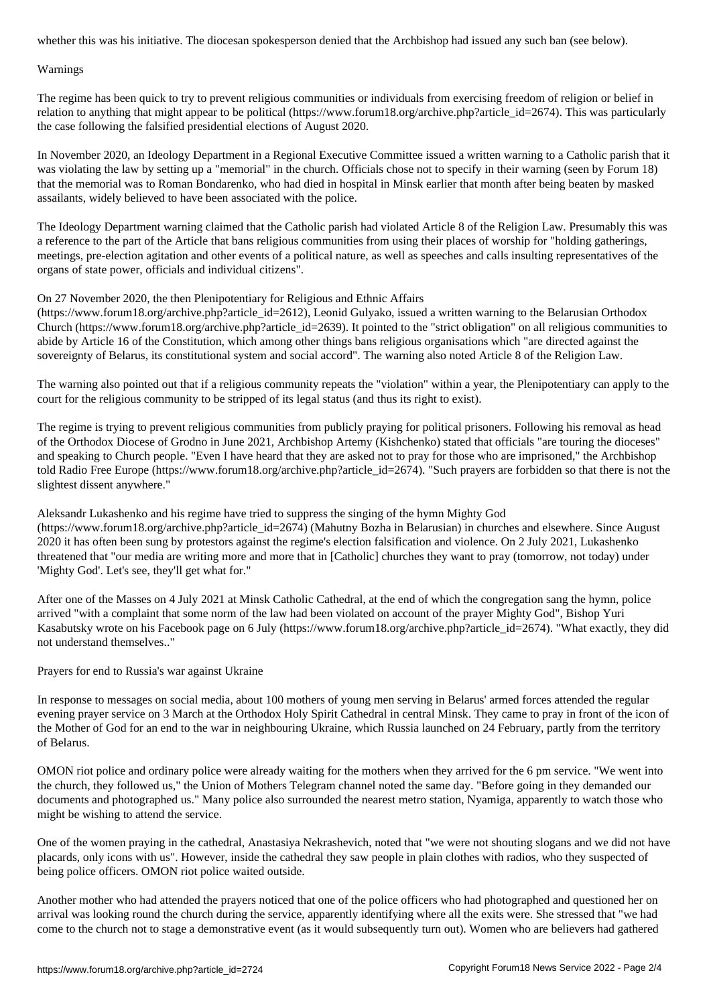#### Warnings

The regime has been quick to try to prevent religious communities or individuals from exercising freedom of religion or belief in relation to anything that might appear to be political (https://www.forum18.org/archive.php?article\_id=2674). This was particularly the case following the falsified presidential elections of August 2020.

In November 2020, an Ideology Department in a Regional Executive Committee issued a written warning to a Catholic parish that it was violating the law by setting up a "memorial" in the church. Officials chose not to specify in their warning (seen by Forum 18) that the memorial was to Roman Bondarenko, who had died in hospital in Minsk earlier that month after being beaten by masked assailants, widely believed to have been associated with the police.

The Ideology Department warning claimed that the Catholic parish had violated Article 8 of the Religion Law. Presumably this was a reference to the part of the Article that bans religious communities from using their places of worship for "holding gatherings, meetings, pre-election agitation and other events of a political nature, as well as speeches and calls insulting representatives of the organs of state power, officials and individual citizens".

# On 27 November 2020, the then Plenipotentiary for Religious and Ethnic Affairs

(https://www.forum18.org/archive.php?article\_id=2612), Leonid Gulyako, issued a written warning to the Belarusian Orthodox Church (https://www.forum18.org/archive.php?article  $id=2639$ ). It pointed to the "strict obligation" on all religious communities to abide by Article 16 of the Constitution, which among other things bans religious organisations which "are directed against the sovereignty of Belarus, its constitutional system and social accord". The warning also noted Article 8 of the Religion Law.

The warning also pointed out that if a religious community repeats the "violation" within a year, the Plenipotentiary can apply to the court for the religious community to be stripped of its legal status (and thus its right to exist).

The regime is trying to prevent religious communities from publicly praying for political prisoners. Following his removal as head of the Orthodox Diocese of Grodno in June 2021, Archbishop Artemy (Kishchenko) stated that officials "are touring the dioceses" and speaking to Church people. "Even I have heard that they are asked not to pray for those who are imprisoned," the Archbishop told Radio Free Europe (https://www.forum18.org/archive.php?article\_id=2674). "Such prayers are forbidden so that there is not the slightest dissent anywhere."

Aleksandr Lukashenko and his regime have tried to suppress the singing of the hymn Mighty God (https://www.forum18.org/archive.php?article\_id=2674) (Mahutny Bozha in Belarusian) in churches and elsewhere. Since August 2020 it has often been sung by protestors against the regime's election falsification and violence. On 2 July 2021, Lukashenko threatened that "our media are writing more and more that in [Catholic] churches they want to pray (tomorrow, not today) under 'Mighty God'. Let's see, they'll get what for."

After one of the Masses on 4 July 2021 at Minsk Catholic Cathedral, at the end of which the congregation sang the hymn, police arrived "with a complaint that some norm of the law had been violated on account of the prayer Mighty God", Bishop Yuri Kasabutsky wrote on his Facebook page on 6 July (https://www.forum18.org/archive.php?article\_id=2674). "What exactly, they did not understand themselves.."

Prayers for end to Russia's war against Ukraine

In response to messages on social media, about 100 mothers of young men serving in Belarus' armed forces attended the regular evening prayer service on 3 March at the Orthodox Holy Spirit Cathedral in central Minsk. They came to pray in front of the icon of the Mother of God for an end to the war in neighbouring Ukraine, which Russia launched on 24 February, partly from the territory of Belarus.

OMON riot police and ordinary police were already waiting for the mothers when they arrived for the 6 pm service. "We went into the church, they followed us," the Union of Mothers Telegram channel noted the same day. "Before going in they demanded our documents and photographed us." Many police also surrounded the nearest metro station, Nyamiga, apparently to watch those who might be wishing to attend the service.

One of the women praying in the cathedral, Anastasiya Nekrashevich, noted that "we were not shouting slogans and we did not have placards, only icons with us". However, inside the cathedral they saw people in plain clothes with radios, who they suspected of being police officers. OMON riot police waited outside.

Another mother who had attended the prayers noticed that one of the police officers who had photographed and questioned her on arrival was looking round the church during the service, apparently identifying where all the exits were. She stressed that "we had come to the church not to stage a demonstrative event (as it would subsequently turn out). Women who are believers had gathered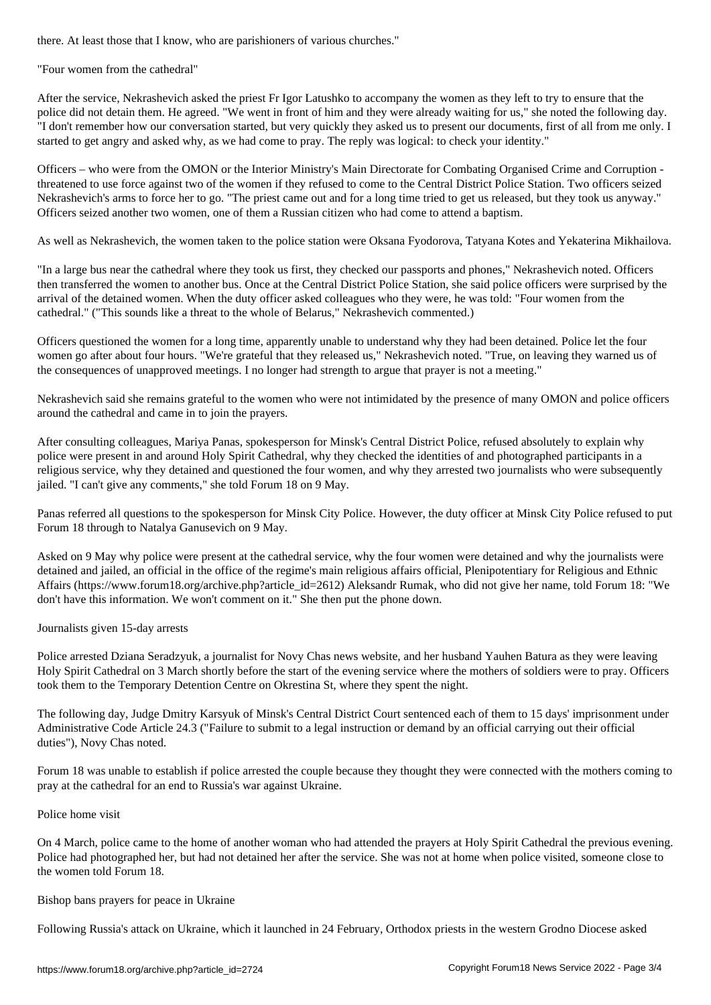"Four women from the cathedral"

After the service, Nekrashevich asked the priest Fr Igor Latushko to accompany the women as they left to try to ensure that the police did not detain them. He agreed. "We went in front of him and they were already waiting for us," she noted the following day. "I don't remember how our conversation started, but very quickly they asked us to present our documents, first of all from me only. I started to get angry and asked why, as we had come to pray. The reply was logical: to check your identity."

Officers – who were from the OMON or the Interior Ministry's Main Directorate for Combating Organised Crime and Corruption threatened to use force against two of the women if they refused to come to the Central District Police Station. Two officers seized Nekrashevich's arms to force her to go. "The priest came out and for a long time tried to get us released, but they took us anyway." Officers seized another two women, one of them a Russian citizen who had come to attend a baptism.

As well as Nekrashevich, the women taken to the police station were Oksana Fyodorova, Tatyana Kotes and Yekaterina Mikhailova.

"In a large bus near the cathedral where they took us first, they checked our passports and phones," Nekrashevich noted. Officers then transferred the women to another bus. Once at the Central District Police Station, she said police officers were surprised by the arrival of the detained women. When the duty officer asked colleagues who they were, he was told: "Four women from the cathedral." ("This sounds like a threat to the whole of Belarus," Nekrashevich commented.)

Officers questioned the women for a long time, apparently unable to understand why they had been detained. Police let the four women go after about four hours. "We're grateful that they released us," Nekrashevich noted. "True, on leaving they warned us of the consequences of unapproved meetings. I no longer had strength to argue that prayer is not a meeting."

Nekrashevich said she remains grateful to the women who were not intimidated by the presence of many OMON and police officers around the cathedral and came in to join the prayers.

After consulting colleagues, Mariya Panas, spokesperson for Minsk's Central District Police, refused absolutely to explain why police were present in and around Holy Spirit Cathedral, why they checked the identities of and photographed participants in a religious service, why they detained and questioned the four women, and why they arrested two journalists who were subsequently jailed. "I can't give any comments," she told Forum 18 on 9 May.

Panas referred all questions to the spokesperson for Minsk City Police. However, the duty officer at Minsk City Police refused to put Forum 18 through to Natalya Ganusevich on 9 May.

Asked on 9 May why police were present at the cathedral service, why the four women were detained and why the journalists were detained and jailed, an official in the office of the regime's main religious affairs official, Plenipotentiary for Religious and Ethnic Affairs (https://www.forum18.org/archive.php?article\_id=2612) Aleksandr Rumak, who did not give her name, told Forum 18: "We don't have this information. We won't comment on it." She then put the phone down.

Journalists given 15-day arrests

Police arrested Dziana Seradzyuk, a journalist for Novy Chas news website, and her husband Yauhen Batura as they were leaving Holy Spirit Cathedral on 3 March shortly before the start of the evening service where the mothers of soldiers were to pray. Officers took them to the Temporary Detention Centre on Okrestina St, where they spent the night.

The following day, Judge Dmitry Karsyuk of Minsk's Central District Court sentenced each of them to 15 days' imprisonment under Administrative Code Article 24.3 ("Failure to submit to a legal instruction or demand by an official carrying out their official duties"), Novy Chas noted.

Forum 18 was unable to establish if police arrested the couple because they thought they were connected with the mothers coming to pray at the cathedral for an end to Russia's war against Ukraine.

## Police home visit

On 4 March, police came to the home of another woman who had attended the prayers at Holy Spirit Cathedral the previous evening. Police had photographed her, but had not detained her after the service. She was not at home when police visited, someone close to the women told Forum 18.

## Bishop bans prayers for peace in Ukraine

Following Russia's attack on Ukraine, which it launched in 24 February, Orthodox priests in the western Grodno Diocese asked